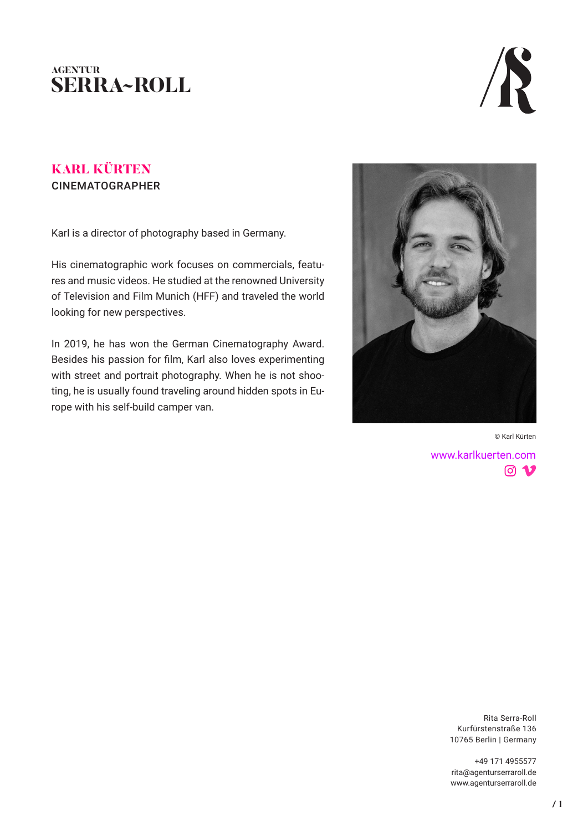# **AGENTUR SERRA~ROLL**



# **KARL KÜRTEN** CINEMATOGRAPHER

Karl is a director of photography based in Germany.

His cinematographic work focuses on commercials, features and music videos. He studied at the renowned University of Television and Film Munich (HFF) and traveled the world looking for new perspectives.

In 2019, he has won the German Cinematography Award. Besides his passion for film, Karl also loves experimenting with street and portrait photography. When he is not shooting, he is usually found traveling around hidden spots in Europe with his self-build camper van.



© Karl Kürten[www.karlkuerten.com](https://www.karlkuerten.com/)  $\boxed{0}$   $\boxed{0}$ 

> Rita Serra-Roll Kurfürstenstraße 136 10765 Berlin | Germany

+49 171 4955577 rita@agenturserraroll.de www.agenturserraroll.de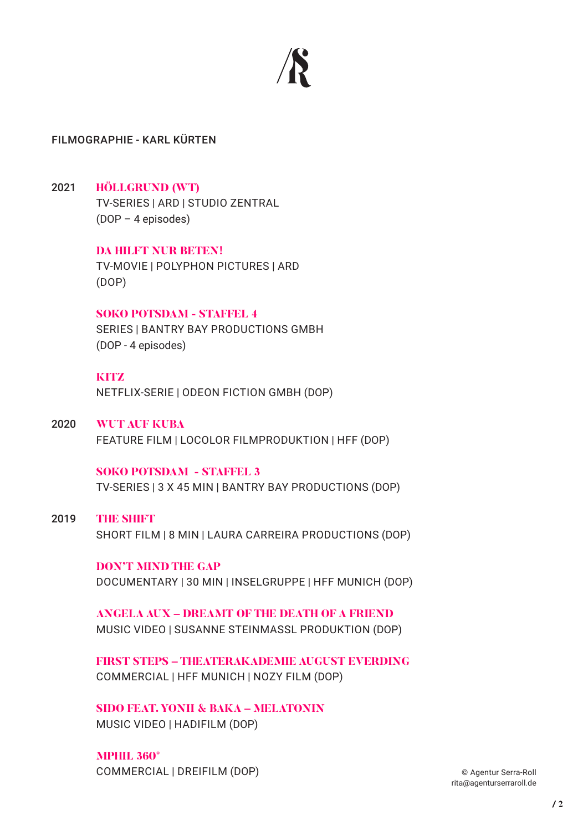

# FILMOGRAPHIE - KARL KÜRTEN

# 2021 **HÖLLGRUND (WT)**

TV-SERIES | ARD | STUDIO ZENTRAL (DOP – 4 episodes)

**DA HILFT NUR BETEN!** TV-MOVIE | POLYPHON PICTURES | ARD (DOP)

#### **SOKO POTSDAM - STAFFEL 4**

SERIES | BANTRY BAY PRODUCTIONS GMBH (DOP - 4 episodes)

#### **KITZ**

NETFLIX-SERIE | ODEON FICTION GMBH (DOP)

2020 **WUT AUF KUBA**

FEATURE FILM | LOCOLOR FILMPRODUKTION | HFF (DOP)

# **SOKO POTSDAM - STAFFEL 3**

TV-SERIES | 3 X 45 MIN | BANTRY BAY PRODUCTIONS (DOP)

## 2019 **THE SHIFT**

SHORT FILM | 8 MIN | LAURA CARREIRA PRODUCTIONS (DOP)

### **DON'T MIND THE GAP**

DOCUMENTARY | 30 MIN | INSELGRUPPE | HFF MUNICH (DOP)

**ANGELA AUX – DREAMT OF THE DEATH OF A FRIEND** MUSIC VIDEO | SUSANNE STEINMASSL PRODUKTION (DOP)

**FIRST STEPS – THEATERAKADEMIE AUGUST EVERDING** COMMERCIAL | HFF MUNICH | NOZY FILM (DOP)

**SIDO FEAT. YONII & BAKA – MELATONIN** MUSIC VIDEO | HADIFILM (DOP)

**MPHIL 360°** COMMERCIAL | DREIFILM (DOP)

© Agentur Serra-Roll rita@agenturserraroll.de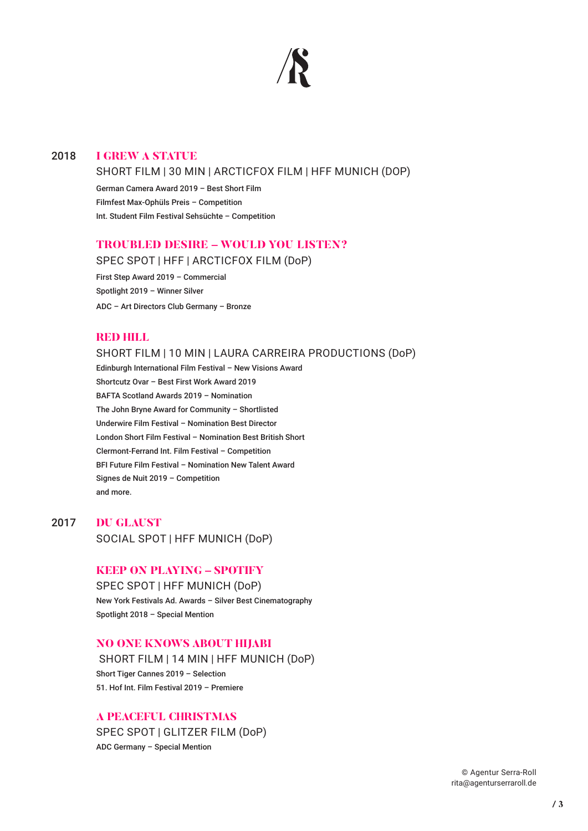

#### 2018 **I GREW A STATUE**

#### SHORT FILM | 30 MIN | ARCTICFOX FILM | HFF MUNICH (DOP)

German Camera Award 2019 – Best Short Film Filmfest Max-Ophüls Preis – Competition Int. Student Film Festival Sehsüchte – Competition

### **TROUBLED DESIRE – WOULD YOU LISTEN?**

SPEC SPOT | HFF | ARCTICFOX FILM (DoP)

First Step Award 2019 – Commercial Spotlight 2019 – Winner Silver ADC – Art Directors Club Germany – Bronze

#### **RED HILL**

#### SHORT FILM | 10 MIN | LAURA CARREIRA PRODUCTIONS (DoP)

 Edinburgh International Film Festival – New Visions Award Shortcutz Ovar – Best First Work Award 2019 BAFTA Scotland Awards 2019 – Nomination The John Bryne Award for Community – Shortlisted Underwire Film Festival – Nomination Best Director London Short Film Festival – Nomination Best British Short Clermont-Ferrand Int. Film Festival – Competition BFI Future Film Festival – Nomination New Talent Award Signes de Nuit 2019 – Competition and more.

2017 **DU GLAUST**

SOCIAL SPOT | HFF MUNICH (DoP)

#### **KEEP ON PLAYING – SPOTIFY**

SPEC SPOT | HFF MUNICH (DoP) New York Festivals Ad. Awards – Silver Best Cinematography Spotlight 2018 – Special Mention

#### **NO ONE KNOWS ABOUT HIJABI**

SHORT FILM | 14 MIN | HFF MUNICH (DoP) Short Tiger Cannes 2019 – Selection 51. Hof Int. Film Festival 2019 – Premiere

#### **A PEACEFUL CHRISTMAS**

SPEC SPOT | GLITZER FILM (DoP) ADC Germany – Special Mention

> © Agentur Serra-Roll rita@agenturserraroll.de